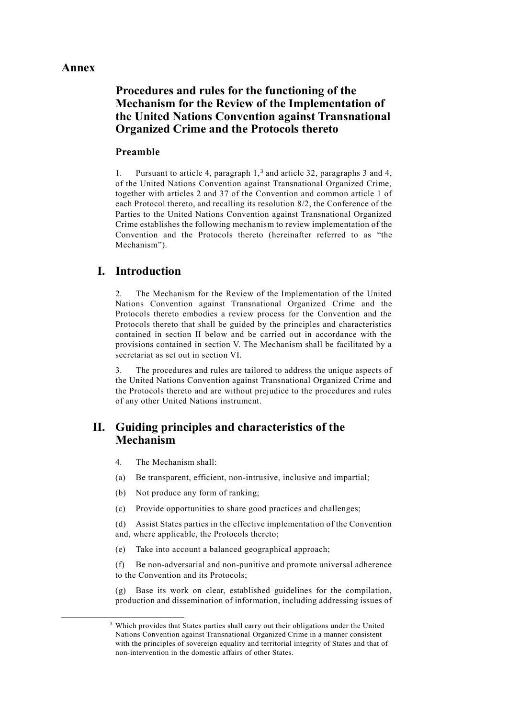### **Annex**

1

# **Procedures and rules for the functioning of the Mechanism for the Review of the Implementation of the United Nations Convention against Transnational Organized Crime and the Protocols thereto**

#### **Preamble**

1. Pursuant to article 4, paragraph  $1<sup>3</sup>$  and article 32, paragraphs 3 and 4, of the United Nations Convention against Transnational Organized Crime, together with articles 2 and 37 of the Convention and common article 1 of each Protocol thereto, and recalling its resolution 8/2, the Conference of the Parties to the United Nations Convention against Transnational Organized Crime establishes the following mechanism to review implementation of the Convention and the Protocols thereto (hereinafter referred to as "the Mechanism").

## **I. Introduction**

2. The Mechanism for the Review of the Implementation of the United Nations Convention against Transnational Organized Crime and the Protocols thereto embodies a review process for the Convention and the Protocols thereto that shall be guided by the principles and characteristics contained in section II below and be carried out in accordance with the provisions contained in section V. The Mechanism shall be facilitated by a secretariat as set out in section VI.

3. The procedures and rules are tailored to address the unique aspects of the United Nations Convention against Transnational Organized Crime and the Protocols thereto and are without prejudice to the procedures and rules of any other United Nations instrument.

# **II. Guiding principles and characteristics of the Mechanism**

- 4. The Mechanism shall:
- (a) Be transparent, efficient, non-intrusive, inclusive and impartial;
- (b) Not produce any form of ranking;
- (c) Provide opportunities to share good practices and challenges;

(d) Assist States parties in the effective implementation of the Convention and, where applicable, the Protocols thereto;

(e) Take into account a balanced geographical approach;

(f) Be non-adversarial and non-punitive and promote universal adherence to the Convention and its Protocols;

(g) Base its work on clear, established guidelines for the compilation, production and dissemination of information, including addressing issues of

<sup>&</sup>lt;sup>3</sup> Which provides that States parties shall carry out their obligations under the United Nations Convention against Transnational Organized Crime in a manner consistent with the principles of sovereign equality and territorial integrity of States and that of non-intervention in the domestic affairs of other States.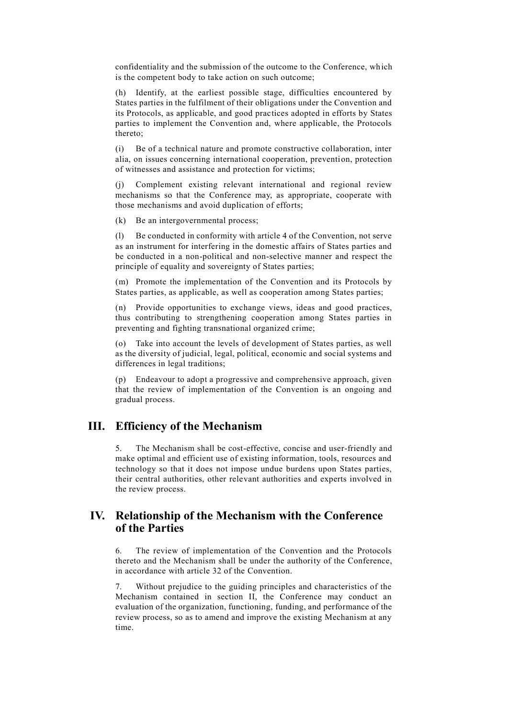confidentiality and the submission of the outcome to the Conference, which is the competent body to take action on such outcome;

(h) Identify, at the earliest possible stage, difficulties encountered by States parties in the fulfilment of their obligations under the Convention and its Protocols, as applicable, and good practices adopted in efforts by States parties to implement the Convention and, where applicable, the Protocols thereto;

(i) Be of a technical nature and promote constructive collaboration, inter alia, on issues concerning international cooperation, prevention, protection of witnesses and assistance and protection for victims;

(j) Complement existing relevant international and regional review mechanisms so that the Conference may, as appropriate, cooperate with those mechanisms and avoid duplication of efforts;

(k) Be an intergovernmental process;

(l) Be conducted in conformity with article 4 of the Convention, not serve as an instrument for interfering in the domestic affairs of States parties and be conducted in a non-political and non-selective manner and respect the principle of equality and sovereignty of States parties;

(m) Promote the implementation of the Convention and its Protocols by States parties, as applicable, as well as cooperation among States parties;

(n) Provide opportunities to exchange views, ideas and good practices, thus contributing to strengthening cooperation among States parties in preventing and fighting transnational organized crime;

(o) Take into account the levels of development of States parties, as well as the diversity of judicial, legal, political, economic and social systems and differences in legal traditions;

(p) Endeavour to adopt a progressive and comprehensive approach, given that the review of implementation of the Convention is an ongoing and gradual process.

### **III. Efficiency of the Mechanism**

5. The Mechanism shall be cost-effective, concise and user-friendly and make optimal and efficient use of existing information, tools, resources and technology so that it does not impose undue burdens upon States parties, their central authorities, other relevant authorities and experts involved in the review process.

## **IV. Relationship of the Mechanism with the Conference of the Parties**

6. The review of implementation of the Convention and the Protocols thereto and the Mechanism shall be under the authority of the Conference, in accordance with article 32 of the Convention.

7. Without prejudice to the guiding principles and characteristics of the Mechanism contained in section II, the Conference may conduct an evaluation of the organization, functioning, funding, and performance of the review process, so as to amend and improve the existing Mechanism at any time.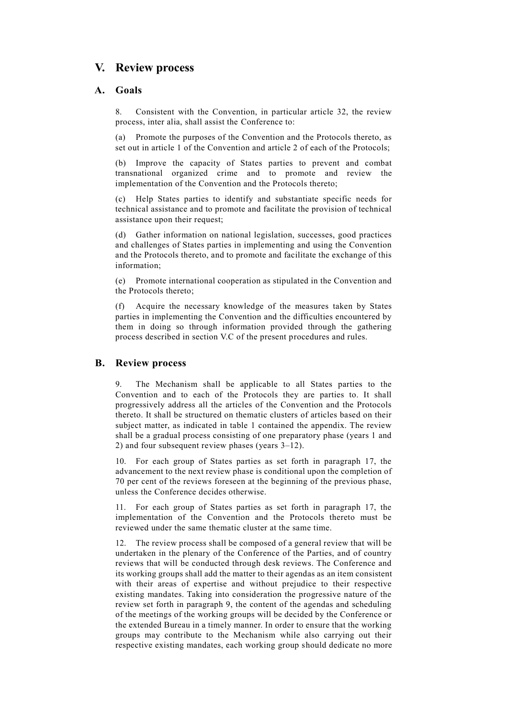# **V. Review process**

### **A. Goals**

8. Consistent with the Convention, in particular article 32, the review process, inter alia, shall assist the Conference to:

(a) Promote the purposes of the Convention and the Protocols thereto, as set out in article 1 of the Convention and article 2 of each of the Protocols;

(b) Improve the capacity of States parties to prevent and combat transnational organized crime and to promote and review the implementation of the Convention and the Protocols thereto;

(c) Help States parties to identify and substantiate specific needs for technical assistance and to promote and facilitate the provision of technical assistance upon their request;

(d) Gather information on national legislation, successes, good practices and challenges of States parties in implementing and using the Convention and the Protocols thereto, and to promote and facilitate the exchange of this information;

(e) Promote international cooperation as stipulated in the Convention and the Protocols thereto;

(f) Acquire the necessary knowledge of the measures taken by States parties in implementing the Convention and the difficulties encountered by them in doing so through information provided through the gathering process described in section V.C of the present procedures and rules.

### **B. Review process**

9. The Mechanism shall be applicable to all States parties to the Convention and to each of the Protocols they are parties to. It shall progressively address all the articles of the Convention and the Protocols thereto. It shall be structured on thematic clusters of articles based on their subject matter, as indicated in table 1 contained the appendix. The review shall be a gradual process consisting of one preparatory phase (years 1 and 2) and four subsequent review phases (years  $3-12$ ).

10. For each group of States parties as set forth in paragraph 17, the advancement to the next review phase is conditional upon the completion of 70 per cent of the reviews foreseen at the beginning of the previous phase, unless the Conference decides otherwise.

For each group of States parties as set forth in paragraph 17, the implementation of the Convention and the Protocols thereto must be reviewed under the same thematic cluster at the same time.

12. The review process shall be composed of a general review that will be undertaken in the plenary of the Conference of the Parties, and of country reviews that will be conducted through desk reviews. The Conference and its working groups shall add the matter to their agendas as an item consistent with their areas of expertise and without prejudice to their respective existing mandates. Taking into consideration the progressive nature of the review set forth in paragraph 9, the content of the agendas and scheduling of the meetings of the working groups will be decided by the Conference or the extended Bureau in a timely manner. In order to ensure that the working groups may contribute to the Mechanism while also carrying out their respective existing mandates, each working group should dedicate no more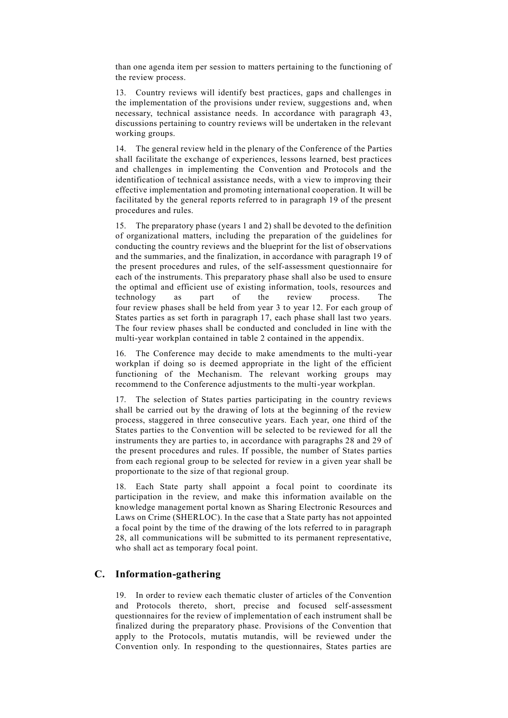than one agenda item per session to matters pertaining to the functioning of the review process.

13. Country reviews will identify best practices, gaps and challenges in the implementation of the provisions under review, suggestions and, when necessary, technical assistance needs. In accordance with paragraph 43, discussions pertaining to country reviews will be undertaken in the relevant working groups.

14. The general review held in the plenary of the Conference of the Parties shall facilitate the exchange of experiences, lessons learned, best practices and challenges in implementing the Convention and Protocols and the identification of technical assistance needs, with a view to improving their effective implementation and promoting international cooperation. It will be facilitated by the general reports referred to in paragraph 19 of the present procedures and rules.

15. The preparatory phase (years 1 and 2) shall be devoted to the definition of organizational matters, including the preparation of the guidelines for conducting the country reviews and the blueprint for the list of observations and the summaries, and the finalization, in accordance with paragraph 19 of the present procedures and rules, of the self-assessment questionnaire for each of the instruments. This preparatory phase shall also be used to ensure the optimal and efficient use of existing information, tools, resources and technology as part of the review process. The four review phases shall be held from year 3 to year 12. For each group of States parties as set forth in paragraph 17, each phase shall last two years. The four review phases shall be conducted and concluded in line with the multi-year workplan contained in table 2 contained in the appendix.

16. The Conference may decide to make amendments to the multi-year workplan if doing so is deemed appropriate in the light of the efficient functioning of the Mechanism. The relevant working groups may recommend to the Conference adjustments to the multi-year workplan.

17. The selection of States parties participating in the country reviews shall be carried out by the drawing of lots at the beginning of the review process, staggered in three consecutive years. Each year, one third of the States parties to the Convention will be selected to be reviewed for all the instruments they are parties to, in accordance with paragraphs 28 and 29 of the present procedures and rules. If possible, the number of States parties from each regional group to be selected for review in a given year shall be proportionate to the size of that regional group.

18. Each State party shall appoint a focal point to coordinate its participation in the review, and make this information available on the knowledge management portal known as Sharing Electronic Resources and Laws on Crime (SHERLOC). In the case that a State party has not appointed a focal point by the time of the drawing of the lots referred to in paragraph 28, all communications will be submitted to its permanent representative, who shall act as temporary focal point.

### **C. Information-gathering**

19. In order to review each thematic cluster of articles of the Convention and Protocols thereto, short, precise and focused self-assessment questionnaires for the review of implementation of each instrument shall be finalized during the preparatory phase. Provisions of the Convention that apply to the Protocols, mutatis mutandis, will be reviewed under the Convention only. In responding to the questionnaires, States parties are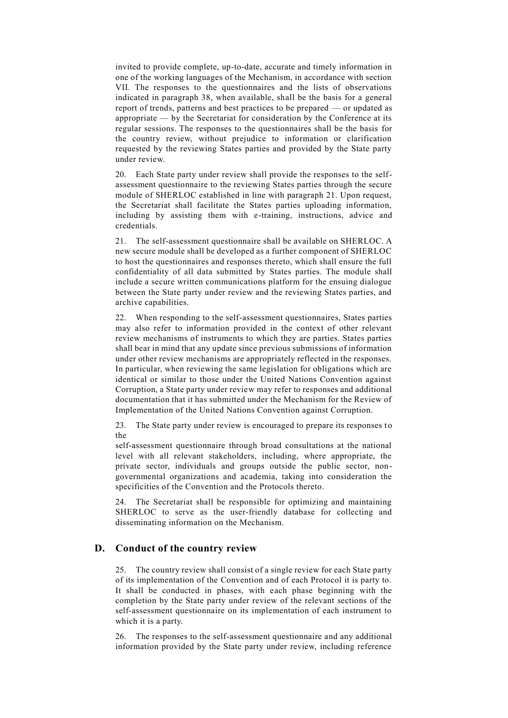invited to provide complete, up-to-date, accurate and timely information in one of the working languages of the Mechanism, in accordance with section VII. The responses to the questionnaires and the lists of observations indicated in paragraph 38, when available, shall be the basis for a general report of trends, patterns and best practices to be prepared — or updated as appropriate — by the Secretariat for consideration by the Conference at its regular sessions. The responses to the questionnaires shall be the basis for the country review, without prejudice to information or clarification requested by the reviewing States parties and provided by the State party under review.

20. Each State party under review shall provide the responses to the selfassessment questionnaire to the reviewing States parties through the secure module of SHERLOC established in line with paragraph 21. Upon request, the Secretariat shall facilitate the States parties uploading information, including by assisting them with e-training, instructions, advice and credentials.

21. The self-assessment questionnaire shall be available on SHERLOC. A new secure module shall be developed as a further component of SHERLOC to host the questionnaires and responses thereto, which shall ensure the full confidentiality of all data submitted by States parties. The module shall include a secure written communications platform for the ensuing dialogue between the State party under review and the reviewing States parties, and archive capabilities.

22. When responding to the self-assessment questionnaires, States parties may also refer to information provided in the context of other relevant review mechanisms of instruments to which they are parties. States parties shall bear in mind that any update since previous submissions of information under other review mechanisms are appropriately reflected in the responses. In particular, when reviewing the same legislation for obligations which are identical or similar to those under the United Nations Convention against Corruption, a State party under review may refer to responses and additional documentation that it has submitted under the Mechanism for the Review of Implementation of the United Nations Convention against Corruption.

23. The State party under review is encouraged to prepare its responses to the

self-assessment questionnaire through broad consultations at the national level with all relevant stakeholders, including, where appropriate, the private sector, individuals and groups outside the public sector, nongovernmental organizations and academia, taking into consideration the specificities of the Convention and the Protocols thereto.

24. The Secretariat shall be responsible for optimizing and maintaining SHERLOC to serve as the user-friendly database for collecting and disseminating information on the Mechanism.

#### **D. Conduct of the country review**

25. The country review shall consist of a single review for each State party of its implementation of the Convention and of each Protocol it is party to. It shall be conducted in phases, with each phase beginning with the completion by the State party under review of the relevant sections of the self-assessment questionnaire on its implementation of each instrument to which it is a party.

26. The responses to the self-assessment questionnaire and any additional information provided by the State party under review, including reference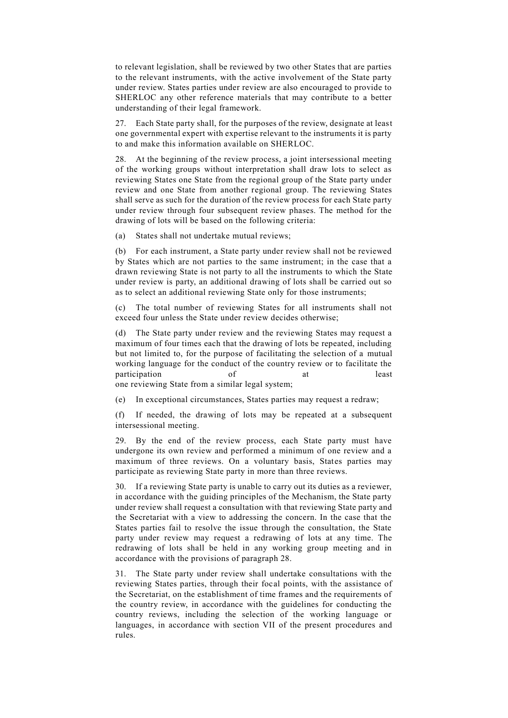to relevant legislation, shall be reviewed by two other States that are parties to the relevant instruments, with the active involvement of the State party under review. States parties under review are also encouraged to provide to SHERLOC any other reference materials that may contribute to a better understanding of their legal framework.

27. Each State party shall, for the purposes of the review, designate at least one governmental expert with expertise relevant to the instruments it is party to and make this information available on SHERLOC.

28. At the beginning of the review process, a joint intersessional meeting of the working groups without interpretation shall draw lots to select as reviewing States one State from the regional group of the State party under review and one State from another regional group. The reviewing States shall serve as such for the duration of the review process for each State party under review through four subsequent review phases. The method for the drawing of lots will be based on the following criteria:

(a) States shall not undertake mutual reviews;

(b) For each instrument, a State party under review shall not be reviewed by States which are not parties to the same instrument; in the case that a drawn reviewing State is not party to all the instruments to which the State under review is party, an additional drawing of lots shall be carried out so as to select an additional reviewing State only for those instruments;

(c) The total number of reviewing States for all instruments shall not exceed four unless the State under review decides otherwise;

(d) The State party under review and the reviewing States may request a maximum of four times each that the drawing of lots be repeated, including but not limited to, for the purpose of facilitating the selection of a mutual working language for the conduct of the country review or to facilitate the participation of at least

one reviewing State from a similar legal system;

(e) In exceptional circumstances, States parties may request a redraw;

(f) If needed, the drawing of lots may be repeated at a subsequent intersessional meeting.

29. By the end of the review process, each State party must have undergone its own review and performed a minimum of one review and a maximum of three reviews. On a voluntary basis, States parties may participate as reviewing State party in more than three reviews.

30. If a reviewing State party is unable to carry out its duties as a reviewer, in accordance with the guiding principles of the Mechanism, the State party under review shall request a consultation with that reviewing State party and the Secretariat with a view to addressing the concern. In the case that the States parties fail to resolve the issue through the consultation, the State party under review may request a redrawing of lots at any time. The redrawing of lots shall be held in any working group meeting and in accordance with the provisions of paragraph 28.

31. The State party under review shall undertake consultations with the reviewing States parties, through their focal points, with the assistance of the Secretariat, on the establishment of time frames and the requirements of the country review, in accordance with the guidelines for conducting the country reviews, including the selection of the working language or languages, in accordance with section VII of the present procedures and rules.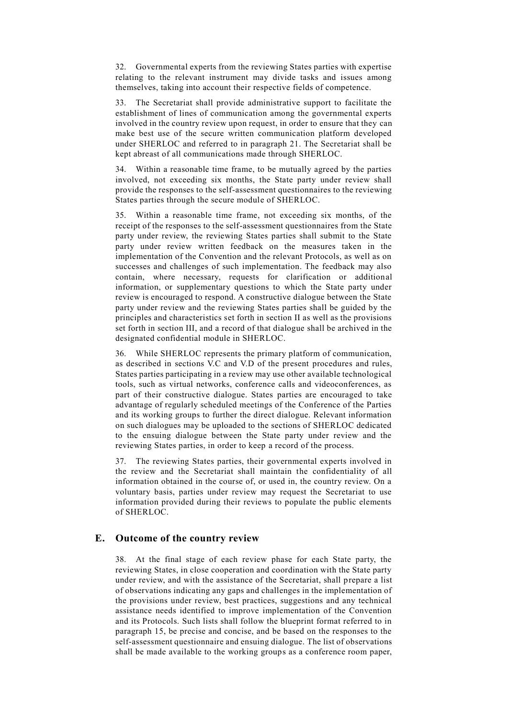32. Governmental experts from the reviewing States parties with expertise relating to the relevant instrument may divide tasks and issues among themselves, taking into account their respective fields of competence.

33. The Secretariat shall provide administrative support to facilitate the establishment of lines of communication among the governmental experts involved in the country review upon request, in order to ensure that they can make best use of the secure written communication platform developed under SHERLOC and referred to in paragraph 21. The Secretariat shall be kept abreast of all communications made through SHERLOC.

34. Within a reasonable time frame, to be mutually agreed by the parties involved, not exceeding six months, the State party under review shall provide the responses to the self-assessment questionnaires to the reviewing States parties through the secure module of SHERLOC.

35. Within a reasonable time frame, not exceeding six months, of the receipt of the responses to the self-assessment questionnaires from the State party under review, the reviewing States parties shall submit to the State party under review written feedback on the measures taken in the implementation of the Convention and the relevant Protocols, as well as on successes and challenges of such implementation. The feedback may also contain, where necessary, requests for clarification or additional information, or supplementary questions to which the State party under review is encouraged to respond. A constructive dialogue between the State party under review and the reviewing States parties shall be guided by the principles and characteristics set forth in section II as well as the provisions set forth in section III, and a record of that dialogue shall be archived in the designated confidential module in SHERLOC.

36. While SHERLOC represents the primary platform of communication, as described in sections V.C and V.D of the present procedures and rules, States parties participating in a review may use other available technological tools, such as virtual networks, conference calls and videoconferences, as part of their constructive dialogue. States parties are encouraged to take advantage of regularly scheduled meetings of the Conference of the Parties and its working groups to further the direct dialogue. Relevant information on such dialogues may be uploaded to the sections of SHERLOC dedicated to the ensuing dialogue between the State party under review and the reviewing States parties, in order to keep a record of the process.

37. The reviewing States parties, their governmental experts involved in the review and the Secretariat shall maintain the confidentiality of all information obtained in the course of, or used in, the country review. On a voluntary basis, parties under review may request the Secretariat to use information provided during their reviews to populate the public elements of SHERLOC.

#### **E. Outcome of the country review**

38. At the final stage of each review phase for each State party, the reviewing States, in close cooperation and coordination with the State party under review, and with the assistance of the Secretariat, shall prepare a list of observations indicating any gaps and challenges in the implementation of the provisions under review, best practices, suggestions and any technical assistance needs identified to improve implementation of the Convention and its Protocols. Such lists shall follow the blueprint format referred to in paragraph 15, be precise and concise, and be based on the responses to the self-assessment questionnaire and ensuing dialogue. The list of observations shall be made available to the working groups as a conference room paper,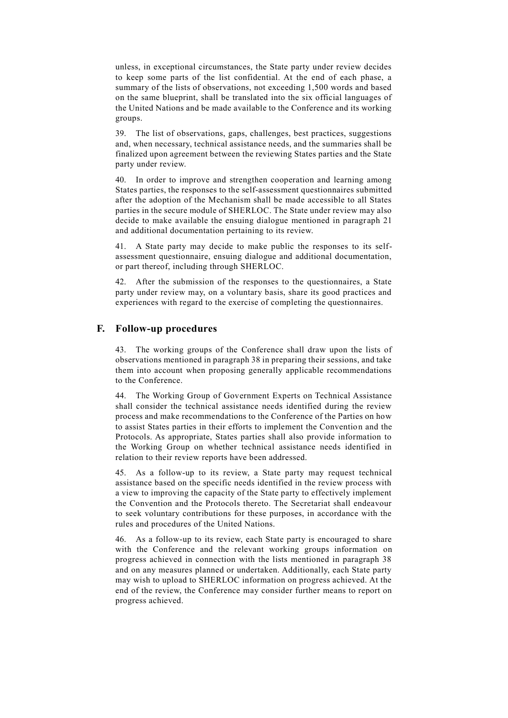unless, in exceptional circumstances, the State party under review decides to keep some parts of the list confidential. At the end of each phase, a summary of the lists of observations, not exceeding 1,500 words and based on the same blueprint, shall be translated into the six official languages of the United Nations and be made available to the Conference and its working groups.

39. The list of observations, gaps, challenges, best practices, suggestions and, when necessary, technical assistance needs, and the summaries shall be finalized upon agreement between the reviewing States parties and the State party under review.

40. In order to improve and strengthen cooperation and learning among States parties, the responses to the self-assessment questionnaires submitted after the adoption of the Mechanism shall be made accessible to all States parties in the secure module of SHERLOC. The State under review may also decide to make available the ensuing dialogue mentioned in paragraph 21 and additional documentation pertaining to its review.

41. A State party may decide to make public the responses to its selfassessment questionnaire, ensuing dialogue and additional documentation, or part thereof, including through SHERLOC.

42. After the submission of the responses to the questionnaires, a State party under review may, on a voluntary basis, share its good practices and experiences with regard to the exercise of completing the questionnaires.

#### **F. Follow-up procedures**

43. The working groups of the Conference shall draw upon the lists of observations mentioned in paragraph 38 in preparing their sessions, and take them into account when proposing generally applicable recommendations to the Conference.

44. The Working Group of Government Experts on Technical Assistance shall consider the technical assistance needs identified during the review process and make recommendations to the Conference of the Parties on how to assist States parties in their efforts to implement the Convention and the Protocols. As appropriate, States parties shall also provide information to the Working Group on whether technical assistance needs identified in relation to their review reports have been addressed.

45. As a follow-up to its review, a State party may request technical assistance based on the specific needs identified in the review process with a view to improving the capacity of the State party to effectively implement the Convention and the Protocols thereto. The Secretariat shall endeavour to seek voluntary contributions for these purposes, in accordance with the rules and procedures of the United Nations.

46. As a follow-up to its review, each State party is encouraged to share with the Conference and the relevant working groups information on progress achieved in connection with the lists mentioned in paragraph 38 and on any measures planned or undertaken. Additionally, each State party may wish to upload to SHERLOC information on progress achieved. At the end of the review, the Conference may consider further means to report on progress achieved.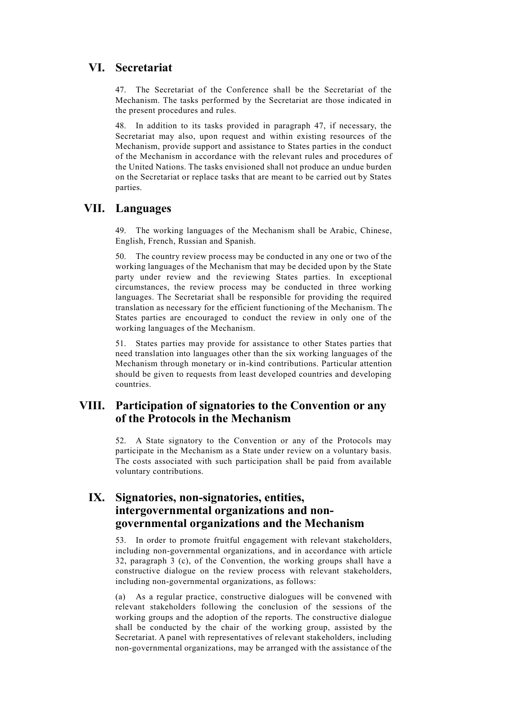# **VI. Secretariat**

47. The Secretariat of the Conference shall be the Secretariat of the Mechanism. The tasks performed by the Secretariat are those indicated in the present procedures and rules.

48. In addition to its tasks provided in paragraph 47, if necessary, the Secretariat may also, upon request and within existing resources of the Mechanism, provide support and assistance to States parties in the conduct of the Mechanism in accordance with the relevant rules and procedures of the United Nations. The tasks envisioned shall not produce an undue burden on the Secretariat or replace tasks that are meant to be carried out by States parties.

# **VII. Languages**

49. The working languages of the Mechanism shall be Arabic, Chinese, English, French, Russian and Spanish.

50. The country review process may be conducted in any one or two of the working languages of the Mechanism that may be decided upon by the State party under review and the reviewing States parties. In exceptional circumstances, the review process may be conducted in three working languages. The Secretariat shall be responsible for providing the required translation as necessary for the efficient functioning of the Mechanism. The States parties are encouraged to conduct the review in only one of the working languages of the Mechanism.

51. States parties may provide for assistance to other States parties that need translation into languages other than the six working languages of the Mechanism through monetary or in-kind contributions. Particular attention should be given to requests from least developed countries and developing countries.

## **VIII. Participation of signatories to the Convention or any of the Protocols in the Mechanism**

52. A State signatory to the Convention or any of the Protocols may participate in the Mechanism as a State under review on a voluntary basis. The costs associated with such participation shall be paid from available voluntary contributions.

# **IX. Signatories, non-signatories, entities, intergovernmental organizations and nongovernmental organizations and the Mechanism**

53. In order to promote fruitful engagement with relevant stakeholders, including non-governmental organizations, and in accordance with article 32, paragraph 3 (c), of the Convention, the working groups shall have a constructive dialogue on the review process with relevant stakeholders, including non-governmental organizations, as follows:

(a) As a regular practice, constructive dialogues will be convened with relevant stakeholders following the conclusion of the sessions of the working groups and the adoption of the reports. The constructive dialogue shall be conducted by the chair of the working group, assisted by the Secretariat. A panel with representatives of relevant stakeholders, including non-governmental organizations, may be arranged with the assistance of the